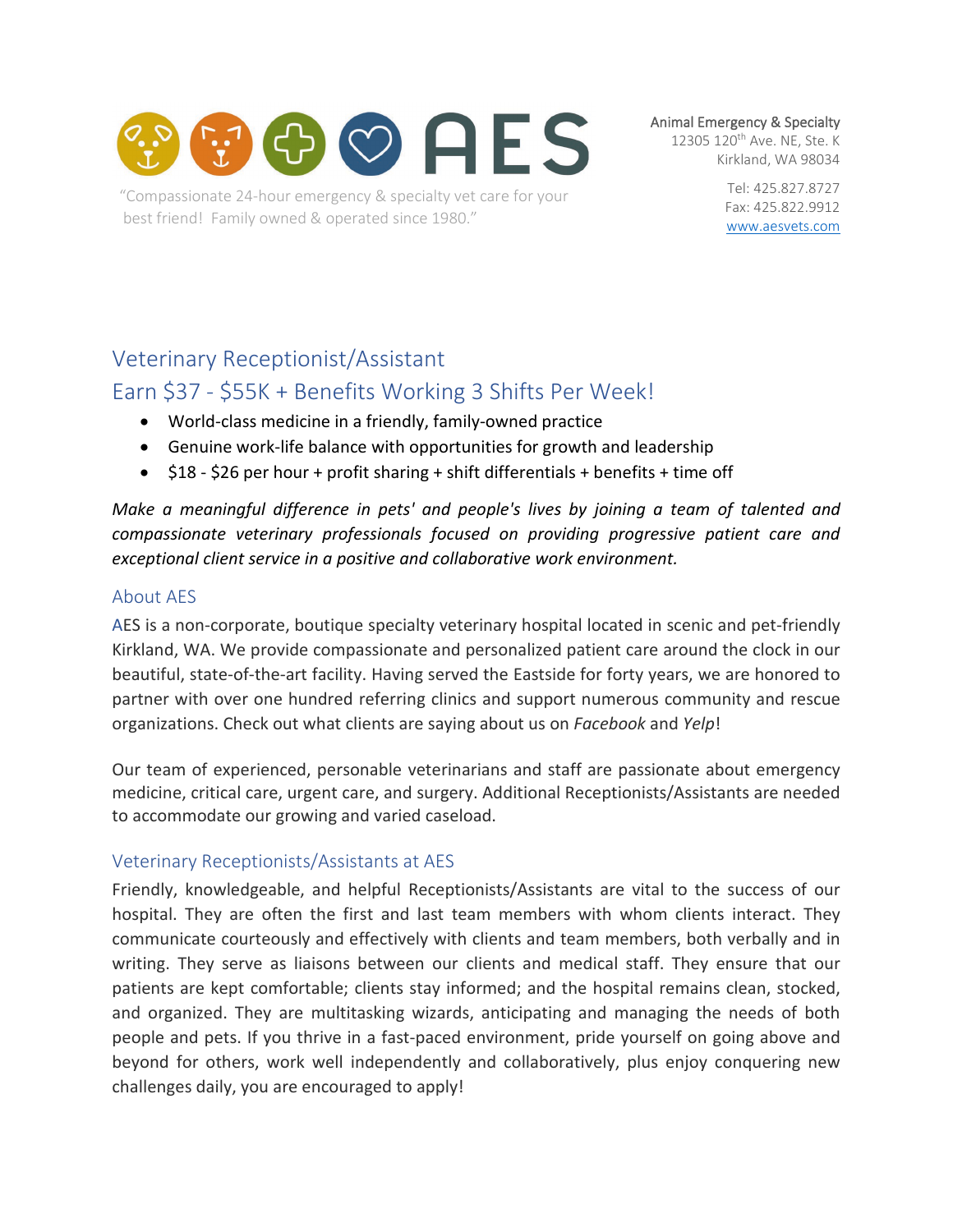

"Compassionate 24-hour emergency & specialty vet care for your best friend! Family owned & operated since 1980."

Animal Emergency & Specialty

12305 120<sup>th</sup> Ave. NE, Ste. K Kirkland, WA 98034

> Tel: 425.827.8727 Fax: 425.822.9912 [www.aesvets.com](https://d.docs.live.net/8f45e0968f0d7eca/Documents/AES/www.aesvets.com)

# Veterinary Receptionist/Assistant

# Earn \$37 - \$55K + Benefits Working 3 Shifts Per Week!

- World-class medicine in a friendly, family-owned practice
- Genuine work-life balance with opportunities for growth and leadership
- \$18 \$26 per hour + profit sharing + shift differentials + benefits + time off

*Make a meaningful difference in pets' and people's lives by joining a team of talented and compassionate veterinary professionals focused on providing progressive patient care and exceptional client service in a positive and collaborative work environment.*

### About AES

AES is a non-corporate, boutique specialty veterinary hospital located in scenic and pet-friendly Kirkland, WA. We provide compassionate and personalized patient care around the clock in our beautiful, state-of-the-art facility. Having served the Eastside for forty years, we are honored to partner with over one hundred referring clinics and support numerous community and rescue organizations. Check out what clients are saying about us on *Facebook* and *Yelp*!

Our team of experienced, personable veterinarians and staff are passionate about emergency medicine, critical care, urgent care, and surgery. Additional Receptionists/Assistants are needed to accommodate our growing and varied caseload.

## Veterinary Receptionists/Assistants at AES

Friendly, knowledgeable, and helpful Receptionists/Assistants are vital to the success of our hospital. They are often the first and last team members with whom clients interact. They communicate courteously and effectively with clients and team members, both verbally and in writing. They serve as liaisons between our clients and medical staff. They ensure that our patients are kept comfortable; clients stay informed; and the hospital remains clean, stocked, and organized. They are multitasking wizards, anticipating and managing the needs of both people and pets. If you thrive in a fast-paced environment, pride yourself on going above and beyond for others, work well independently and collaboratively, plus enjoy conquering new challenges daily, you are encouraged to apply!